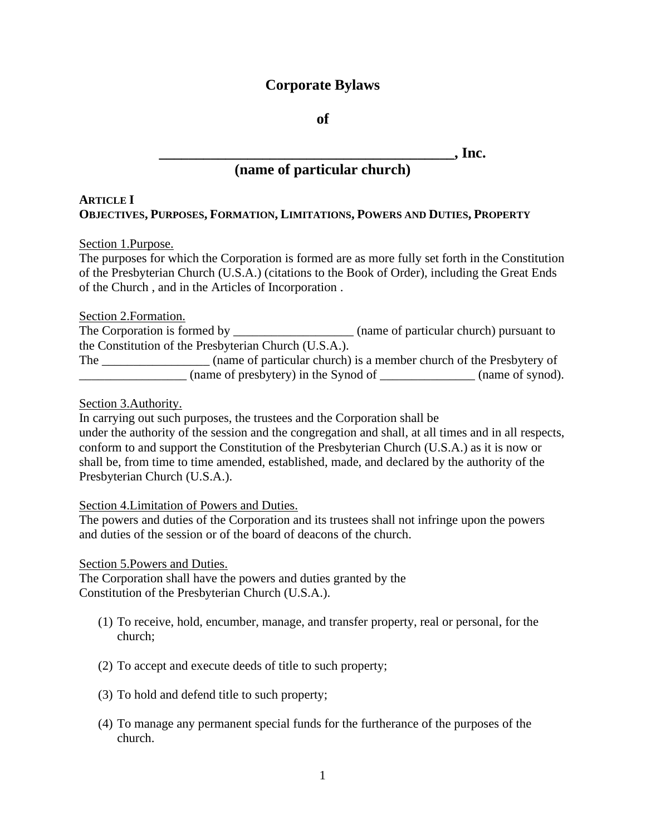# **Corporate Bylaws**

**of**

**\_\_\_\_\_\_\_\_\_\_\_\_\_\_\_\_\_\_\_\_\_\_\_\_\_\_\_\_\_\_\_\_\_\_\_\_\_\_\_\_, Inc.**

# **(name of particular church)**

# **ARTICLE I OBJECTIVES, PURPOSES, FORMATION, LIMITATIONS, POWERS AND DUTIES, PROPERTY**

# Section 1.Purpose.

The purposes for which the Corporation is formed are as more fully set forth in the Constitution of the Presbyterian Church (U.S.A.) (citations to the Book of Order), including the Great Ends of the Church , and in the Articles of Incorporation .

# Section 2.Formation.

The Corporation is formed by \_\_\_\_\_\_\_\_\_\_\_\_\_\_\_\_\_\_\_\_\_\_ (name of particular church) pursuant to the Constitution of the Presbyterian Church (U.S.A.).

The <u>contract the change of particular church</u> is a member church of the Presbytery of (name of presbytery) in the Synod of  $\qquad \qquad$  (name of synod).

Section 3.Authority.

In carrying out such purposes, the trustees and the Corporation shall be under the authority of the session and the congregation and shall, at all times and in all respects, conform to and support the Constitution of the Presbyterian Church (U.S.A.) as it is now or shall be, from time to time amended, established, made, and declared by the authority of the Presbyterian Church (U.S.A.).

## Section 4.Limitation of Powers and Duties.

The powers and duties of the Corporation and its trustees shall not infringe upon the powers and duties of the session or of the board of deacons of the church.

## Section 5.Powers and Duties.

The Corporation shall have the powers and duties granted by the Constitution of the Presbyterian Church (U.S.A.).

- (1) To receive, hold, encumber, manage, and transfer property, real or personal, for the church;
- (2) To accept and execute deeds of title to such property;
- (3) To hold and defend title to such property;
- (4) To manage any permanent special funds for the furtherance of the purposes of the church.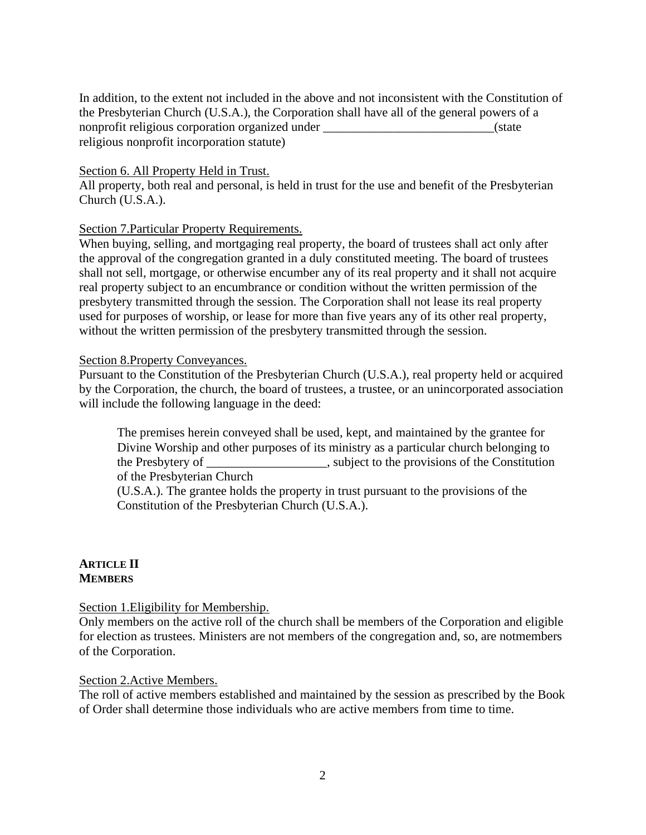In addition, to the extent not included in the above and not inconsistent with the Constitution of the Presbyterian Church (U.S.A.), the Corporation shall have all of the general powers of a nonprofit religious corporation organized under \_\_\_\_\_\_\_\_\_\_\_\_\_\_\_\_\_\_\_\_\_\_\_\_\_\_\_(state religious nonprofit incorporation statute)

#### Section 6. All Property Held in Trust.

All property, both real and personal, is held in trust for the use and benefit of the Presbyterian Church (U.S.A.).

## Section 7.Particular Property Requirements.

When buying, selling, and mortgaging real property, the board of trustees shall act only after the approval of the congregation granted in a duly constituted meeting. The board of trustees shall not sell, mortgage, or otherwise encumber any of its real property and it shall not acquire real property subject to an encumbrance or condition without the written permission of the presbytery transmitted through the session. The Corporation shall not lease its real property used for purposes of worship, or lease for more than five years any of its other real property, without the written permission of the presbytery transmitted through the session.

#### Section 8.Property Conveyances.

Pursuant to the Constitution of the Presbyterian Church (U.S.A.), real property held or acquired by the Corporation, the church, the board of trustees, a trustee, or an unincorporated association will include the following language in the deed:

The premises herein conveyed shall be used, kept, and maintained by the grantee for Divine Worship and other purposes of its ministry as a particular church belonging to the Presbytery of \_\_\_\_\_\_\_\_\_\_\_\_\_\_\_\_\_\_\_, subject to the provisions of the Constitution of the Presbyterian Church

(U.S.A.). The grantee holds the property in trust pursuant to the provisions of the Constitution of the Presbyterian Church (U.S.A.).

#### **ARTICLE II MEMBERS**

Section 1.Eligibility for Membership.

Only members on the active roll of the church shall be members of the Corporation and eligible for election as trustees. Ministers are not members of the congregation and, so, are notmembers of the Corporation.

#### Section 2.Active Members.

The roll of active members established and maintained by the session as prescribed by the Book of Order shall determine those individuals who are active members from time to time.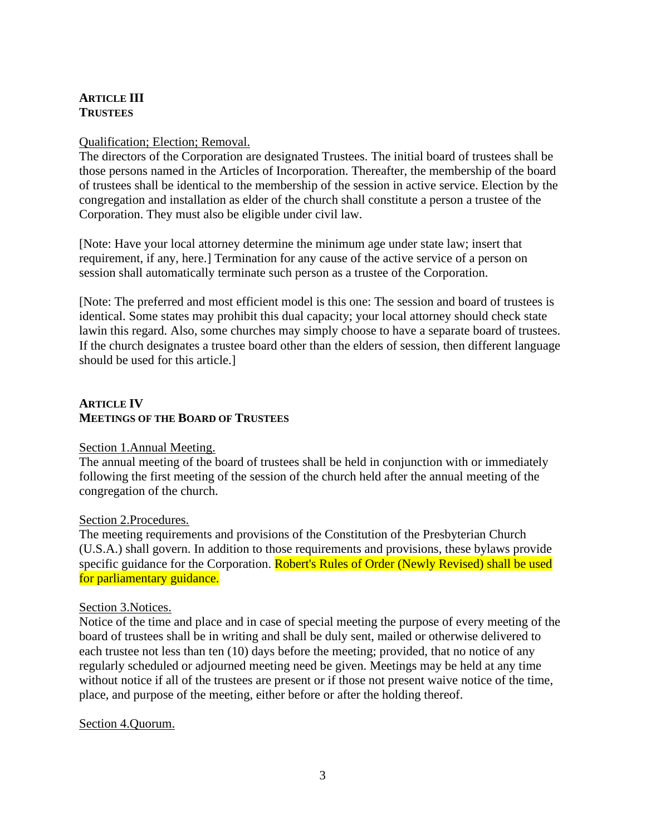# **ARTICLE III TRUSTEES**

## Qualification; Election; Removal.

The directors of the Corporation are designated Trustees. The initial board of trustees shall be those persons named in the Articles of Incorporation. Thereafter, the membership of the board of trustees shall be identical to the membership of the session in active service. Election by the congregation and installation as elder of the church shall constitute a person a trustee of the Corporation. They must also be eligible under civil law.

[Note: Have your local attorney determine the minimum age under state law; insert that requirement, if any, here.] Termination for any cause of the active service of a person on session shall automatically terminate such person as a trustee of the Corporation.

[Note: The preferred and most efficient model is this one: The session and board of trustees is identical. Some states may prohibit this dual capacity; your local attorney should check state lawin this regard. Also, some churches may simply choose to have a separate board of trustees. If the church designates a trustee board other than the elders of session, then different language should be used for this article.]

## **ARTICLE IV MEETINGS OF THE BOARD OF TRUSTEES**

## Section 1.Annual Meeting.

The annual meeting of the board of trustees shall be held in conjunction with or immediately following the first meeting of the session of the church held after the annual meeting of the congregation of the church.

## Section 2.Procedures.

The meeting requirements and provisions of the Constitution of the Presbyterian Church (U.S.A.) shall govern. In addition to those requirements and provisions, these bylaws provide specific guidance for the Corporation. Robert's Rules of Order (Newly Revised) shall be used for parliamentary guidance.

## Section 3.Notices.

Notice of the time and place and in case of special meeting the purpose of every meeting of the board of trustees shall be in writing and shall be duly sent, mailed or otherwise delivered to each trustee not less than ten (10) days before the meeting; provided, that no notice of any regularly scheduled or adjourned meeting need be given. Meetings may be held at any time without notice if all of the trustees are present or if those not present waive notice of the time, place, and purpose of the meeting, either before or after the holding thereof.

# Section 4.Quorum.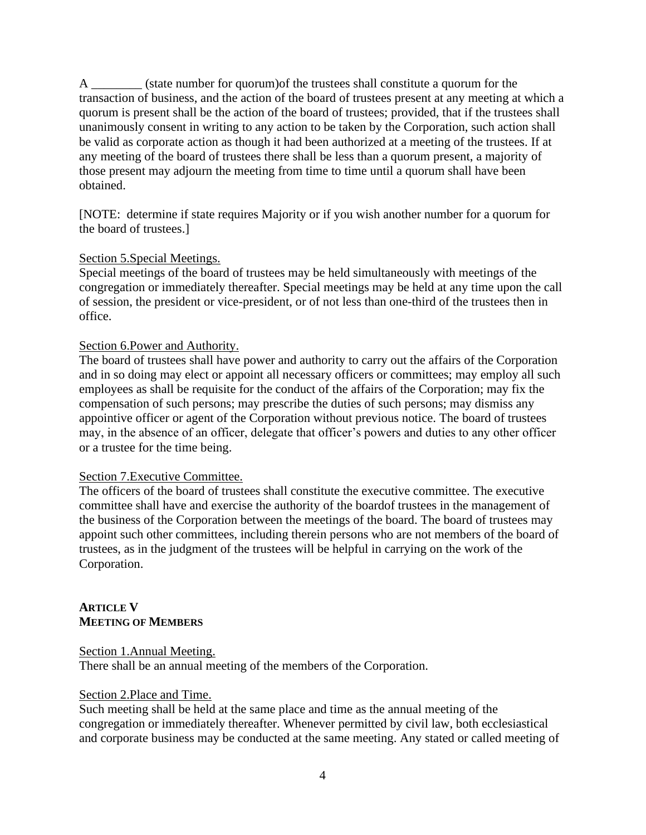A \_\_\_\_\_\_\_\_ (state number for quorum)of the trustees shall constitute a quorum for the transaction of business, and the action of the board of trustees present at any meeting at which a quorum is present shall be the action of the board of trustees; provided, that if the trustees shall unanimously consent in writing to any action to be taken by the Corporation, such action shall be valid as corporate action as though it had been authorized at a meeting of the trustees. If at any meeting of the board of trustees there shall be less than a quorum present, a majority of those present may adjourn the meeting from time to time until a quorum shall have been obtained.

[NOTE: determine if state requires Majority or if you wish another number for a quorum for the board of trustees.]

## Section 5.Special Meetings.

Special meetings of the board of trustees may be held simultaneously with meetings of the congregation or immediately thereafter. Special meetings may be held at any time upon the call of session, the president or vice-president, or of not less than one-third of the trustees then in office.

## Section 6.Power and Authority.

The board of trustees shall have power and authority to carry out the affairs of the Corporation and in so doing may elect or appoint all necessary officers or committees; may employ all such employees as shall be requisite for the conduct of the affairs of the Corporation; may fix the compensation of such persons; may prescribe the duties of such persons; may dismiss any appointive officer or agent of the Corporation without previous notice. The board of trustees may, in the absence of an officer, delegate that officer's powers and duties to any other officer or a trustee for the time being.

#### Section 7.Executive Committee.

The officers of the board of trustees shall constitute the executive committee. The executive committee shall have and exercise the authority of the boardof trustees in the management of the business of the Corporation between the meetings of the board. The board of trustees may appoint such other committees, including therein persons who are not members of the board of trustees, as in the judgment of the trustees will be helpful in carrying on the work of the Corporation.

# **ARTICLE V MEETING OF MEMBERS**

Section 1.Annual Meeting. There shall be an annual meeting of the members of the Corporation.

## Section 2.Place and Time.

Such meeting shall be held at the same place and time as the annual meeting of the congregation or immediately thereafter. Whenever permitted by civil law, both ecclesiastical and corporate business may be conducted at the same meeting. Any stated or called meeting of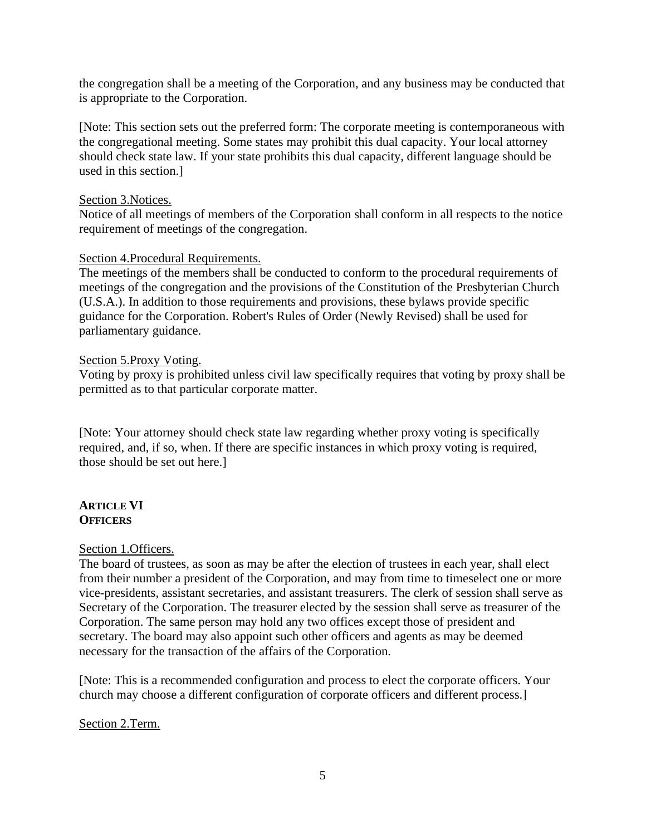the congregation shall be a meeting of the Corporation, and any business may be conducted that is appropriate to the Corporation.

[Note: This section sets out the preferred form: The corporate meeting is contemporaneous with the congregational meeting. Some states may prohibit this dual capacity. Your local attorney should check state law. If your state prohibits this dual capacity, different language should be used in this section.]

## Section 3.Notices.

Notice of all meetings of members of the Corporation shall conform in all respects to the notice requirement of meetings of the congregation.

## Section 4.Procedural Requirements.

The meetings of the members shall be conducted to conform to the procedural requirements of meetings of the congregation and the provisions of the Constitution of the Presbyterian Church (U.S.A.). In addition to those requirements and provisions, these bylaws provide specific guidance for the Corporation. Robert's Rules of Order (Newly Revised) shall be used for parliamentary guidance.

#### Section 5.Proxy Voting.

Voting by proxy is prohibited unless civil law specifically requires that voting by proxy shall be permitted as to that particular corporate matter.

[Note: Your attorney should check state law regarding whether proxy voting is specifically required, and, if so, when. If there are specific instances in which proxy voting is required, those should be set out here.]

#### **ARTICLE VI OFFICERS**

#### Section 1.Officers.

The board of trustees, as soon as may be after the election of trustees in each year, shall elect from their number a president of the Corporation, and may from time to timeselect one or more vice-presidents, assistant secretaries, and assistant treasurers. The clerk of session shall serve as Secretary of the Corporation. The treasurer elected by the session shall serve as treasurer of the Corporation. The same person may hold any two offices except those of president and secretary. The board may also appoint such other officers and agents as may be deemed necessary for the transaction of the affairs of the Corporation.

[Note: This is a recommended configuration and process to elect the corporate officers. Your church may choose a different configuration of corporate officers and different process.]

Section 2.Term.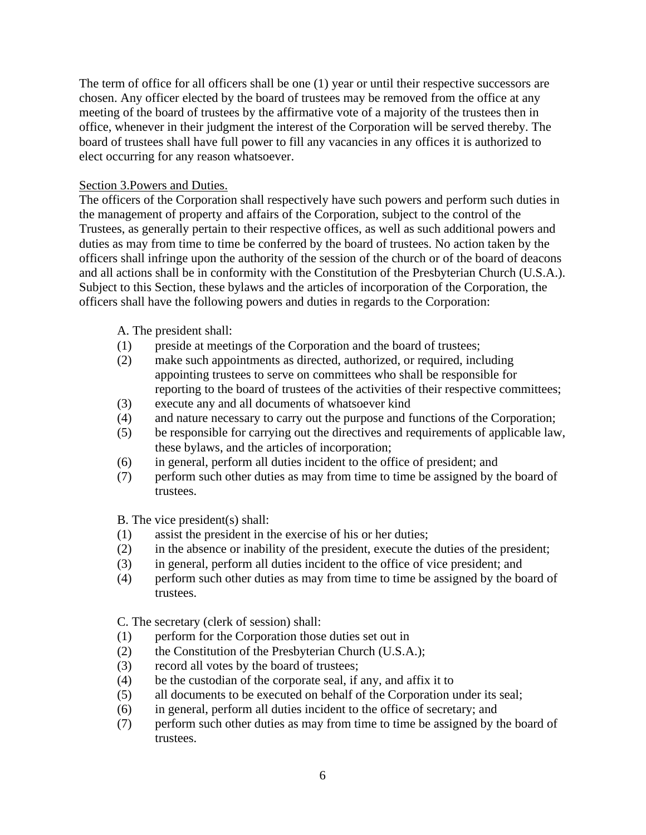The term of office for all officers shall be one (1) year or until their respective successors are chosen. Any officer elected by the board of trustees may be removed from the office at any meeting of the board of trustees by the affirmative vote of a majority of the trustees then in office, whenever in their judgment the interest of the Corporation will be served thereby. The board of trustees shall have full power to fill any vacancies in any offices it is authorized to elect occurring for any reason whatsoever.

#### Section 3.Powers and Duties.

The officers of the Corporation shall respectively have such powers and perform such duties in the management of property and affairs of the Corporation, subject to the control of the Trustees, as generally pertain to their respective offices, as well as such additional powers and duties as may from time to time be conferred by the board of trustees. No action taken by the officers shall infringe upon the authority of the session of the church or of the board of deacons and all actions shall be in conformity with the Constitution of the Presbyterian Church (U.S.A.). Subject to this Section, these bylaws and the articles of incorporation of the Corporation, the officers shall have the following powers and duties in regards to the Corporation:

A. The president shall:

- (1) preside at meetings of the Corporation and the board of trustees;
- (2) make such appointments as directed, authorized, or required, including appointing trustees to serve on committees who shall be responsible for reporting to the board of trustees of the activities of their respective committees;
- (3) execute any and all documents of whatsoever kind
- (4) and nature necessary to carry out the purpose and functions of the Corporation;
- (5) be responsible for carrying out the directives and requirements of applicable law, these bylaws, and the articles of incorporation;
- (6) in general, perform all duties incident to the office of president; and
- (7) perform such other duties as may from time to time be assigned by the board of trustees.

B. The vice president(s) shall:

- (1) assist the president in the exercise of his or her duties;
- (2) in the absence or inability of the president, execute the duties of the president;
- (3) in general, perform all duties incident to the office of vice president; and
- (4) perform such other duties as may from time to time be assigned by the board of trustees.

C. The secretary (clerk of session) shall:

- (1) perform for the Corporation those duties set out in
- (2) the Constitution of the Presbyterian Church (U.S.A.);
- (3) record all votes by the board of trustees;
- (4) be the custodian of the corporate seal, if any, and affix it to
- (5) all documents to be executed on behalf of the Corporation under its seal;
- (6) in general, perform all duties incident to the office of secretary; and
- (7) perform such other duties as may from time to time be assigned by the board of trustees.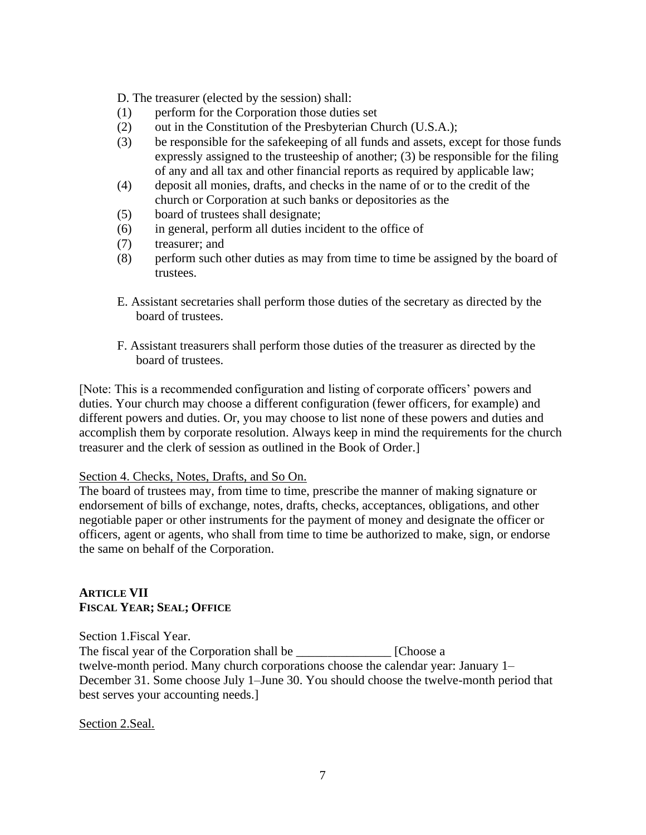D. The treasurer (elected by the session) shall:

- (1) perform for the Corporation those duties set
- (2) out in the Constitution of the Presbyterian Church (U.S.A.);
- (3) be responsible for the safekeeping of all funds and assets, except for those funds expressly assigned to the trusteeship of another; (3) be responsible for the filing of any and all tax and other financial reports as required by applicable law;
- (4) deposit all monies, drafts, and checks in the name of or to the credit of the church or Corporation at such banks or depositories as the
- (5) board of trustees shall designate;
- (6) in general, perform all duties incident to the office of
- (7) treasurer; and
- (8) perform such other duties as may from time to time be assigned by the board of trustees.
- E. Assistant secretaries shall perform those duties of the secretary as directed by the board of trustees.
- F. Assistant treasurers shall perform those duties of the treasurer as directed by the board of trustees.

[Note: This is a recommended configuration and listing of corporate officers' powers and duties. Your church may choose a different configuration (fewer officers, for example) and different powers and duties. Or, you may choose to list none of these powers and duties and accomplish them by corporate resolution. Always keep in mind the requirements for the church treasurer and the clerk of session as outlined in the Book of Order.]

## Section 4. Checks, Notes, Drafts, and So On.

The board of trustees may, from time to time, prescribe the manner of making signature or endorsement of bills of exchange, notes, drafts, checks, acceptances, obligations, and other negotiable paper or other instruments for the payment of money and designate the officer or officers, agent or agents, who shall from time to time be authorized to make, sign, or endorse the same on behalf of the Corporation.

## **ARTICLE VII FISCAL YEAR; SEAL; OFFICE**

Section 1.Fiscal Year. The fiscal year of the Corporation shall be \_\_\_\_\_\_\_\_\_\_\_\_\_\_\_ [Choose a twelve-month period. Many church corporations choose the calendar year: January 1– December 31. Some choose July 1–June 30. You should choose the twelve-month period that best serves your accounting needs.]

Section 2.Seal.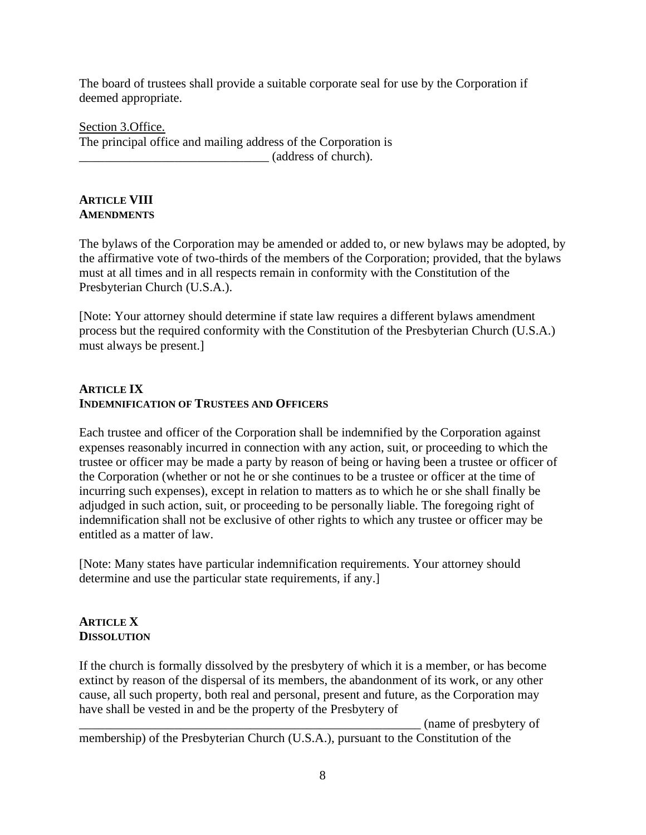The board of trustees shall provide a suitable corporate seal for use by the Corporation if deemed appropriate.

Section 3.Office. The principal office and mailing address of the Corporation is \_\_\_\_\_\_\_\_\_\_\_\_\_\_\_\_\_\_\_\_\_\_\_\_\_\_\_\_\_\_ (address of church).

# **ARTICLE VIII AMENDMENTS**

The bylaws of the Corporation may be amended or added to, or new bylaws may be adopted, by the affirmative vote of two-thirds of the members of the Corporation; provided, that the bylaws must at all times and in all respects remain in conformity with the Constitution of the Presbyterian Church (U.S.A.).

[Note: Your attorney should determine if state law requires a different bylaws amendment process but the required conformity with the Constitution of the Presbyterian Church (U.S.A.) must always be present.]

# **ARTICLE IX INDEMNIFICATION OF TRUSTEES AND OFFICERS**

Each trustee and officer of the Corporation shall be indemnified by the Corporation against expenses reasonably incurred in connection with any action, suit, or proceeding to which the trustee or officer may be made a party by reason of being or having been a trustee or officer of the Corporation (whether or not he or she continues to be a trustee or officer at the time of incurring such expenses), except in relation to matters as to which he or she shall finally be adjudged in such action, suit, or proceeding to be personally liable. The foregoing right of indemnification shall not be exclusive of other rights to which any trustee or officer may be entitled as a matter of law.

[Note: Many states have particular indemnification requirements. Your attorney should determine and use the particular state requirements, if any.]

## **ARTICLE X DISSOLUTION**

If the church is formally dissolved by the presbytery of which it is a member, or has become extinct by reason of the dispersal of its members, the abandonment of its work, or any other cause, all such property, both real and personal, present and future, as the Corporation may have shall be vested in and be the property of the Presbytery of

 $\Box$  (name of presbytery of membership) of the Presbyterian Church (U.S.A.), pursuant to the Constitution of the